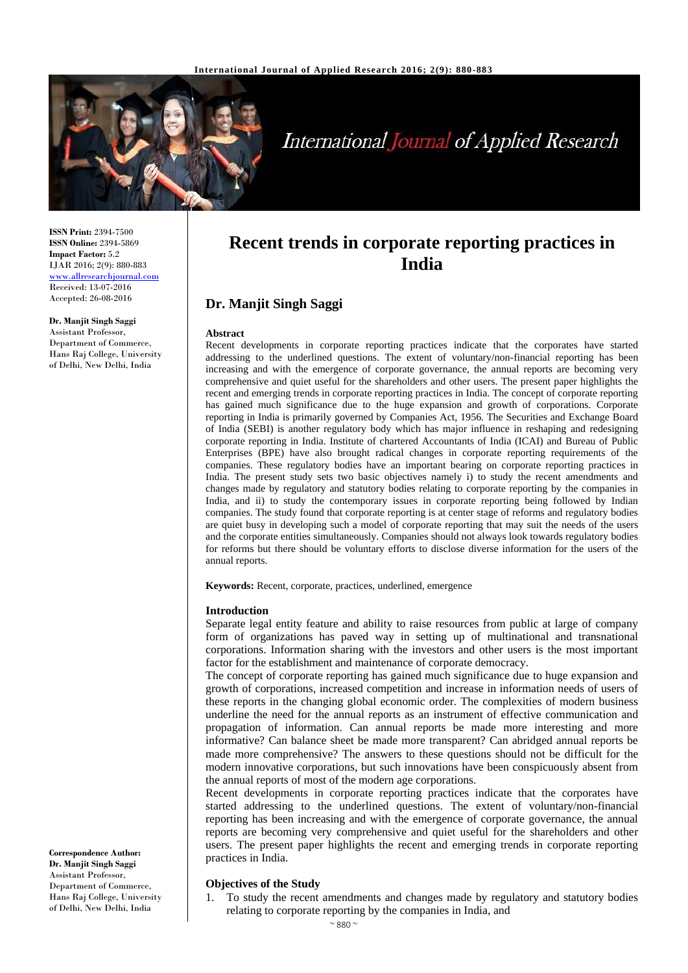

# **International Journal of Applied Research**

**ISSN Print:** 2394-7500 **ISSN Online:** 2394-5869 **Impact Factor:** 5.2 IJAR 2016; 2(9): 880-883 [www.allresearchjournal.com](http://www.allresearchjournal.com/) Received: 13-07-2016 Accepted: 26-08-2016

**Dr. Manjit Singh Saggi** Assistant Professor, Department of Commerce, Hans Raj College, University of Delhi, New Delhi, India

**Correspondence Author: Dr. Manjit Singh Saggi** Assistant Professor, Department of Commerce, Hans Raj College, University of Delhi, New Delhi, India

**Recent trends in corporate reporting practices in India**

# **Dr. Manjit Singh Saggi**

#### **Abstract**

Recent developments in corporate reporting practices indicate that the corporates have started addressing to the underlined questions. The extent of voluntary/non-financial reporting has been increasing and with the emergence of corporate governance, the annual reports are becoming very comprehensive and quiet useful for the shareholders and other users. The present paper highlights the recent and emerging trends in corporate reporting practices in India. The concept of corporate reporting has gained much significance due to the huge expansion and growth of corporations. Corporate reporting in India is primarily governed by Companies Act, 1956. The Securities and Exchange Board of India (SEBI) is another regulatory body which has major influence in reshaping and redesigning corporate reporting in India. Institute of chartered Accountants of India (ICAI) and Bureau of Public Enterprises (BPE) have also brought radical changes in corporate reporting requirements of the companies. These regulatory bodies have an important bearing on corporate reporting practices in India. The present study sets two basic objectives namely i) to study the recent amendments and changes made by regulatory and statutory bodies relating to corporate reporting by the companies in India, and ii) to study the contemporary issues in corporate reporting being followed by Indian companies. The study found that corporate reporting is at center stage of reforms and regulatory bodies are quiet busy in developing such a model of corporate reporting that may suit the needs of the users and the corporate entities simultaneously. Companies should not always look towards regulatory bodies for reforms but there should be voluntary efforts to disclose diverse information for the users of the annual reports.

**Keywords:** Recent, corporate, practices, underlined, emergence

#### **Introduction**

Separate legal entity feature and ability to raise resources from public at large of company form of organizations has paved way in setting up of multinational and transnational corporations. Information sharing with the investors and other users is the most important factor for the establishment and maintenance of corporate democracy.

The concept of corporate reporting has gained much significance due to huge expansion and growth of corporations, increased competition and increase in information needs of users of these reports in the changing global economic order. The complexities of modern business underline the need for the annual reports as an instrument of effective communication and propagation of information. Can annual reports be made more interesting and more informative? Can balance sheet be made more transparent? Can abridged annual reports be made more comprehensive? The answers to these questions should not be difficult for the modern innovative corporations, but such innovations have been conspicuously absent from the annual reports of most of the modern age corporations.

Recent developments in corporate reporting practices indicate that the corporates have started addressing to the underlined questions. The extent of voluntary/non-financial reporting has been increasing and with the emergence of corporate governance, the annual reports are becoming very comprehensive and quiet useful for the shareholders and other users. The present paper highlights the recent and emerging trends in corporate reporting practices in India.

#### **Objectives of the Study**

1. To study the recent amendments and changes made by regulatory and statutory bodies relating to corporate reporting by the companies in India, and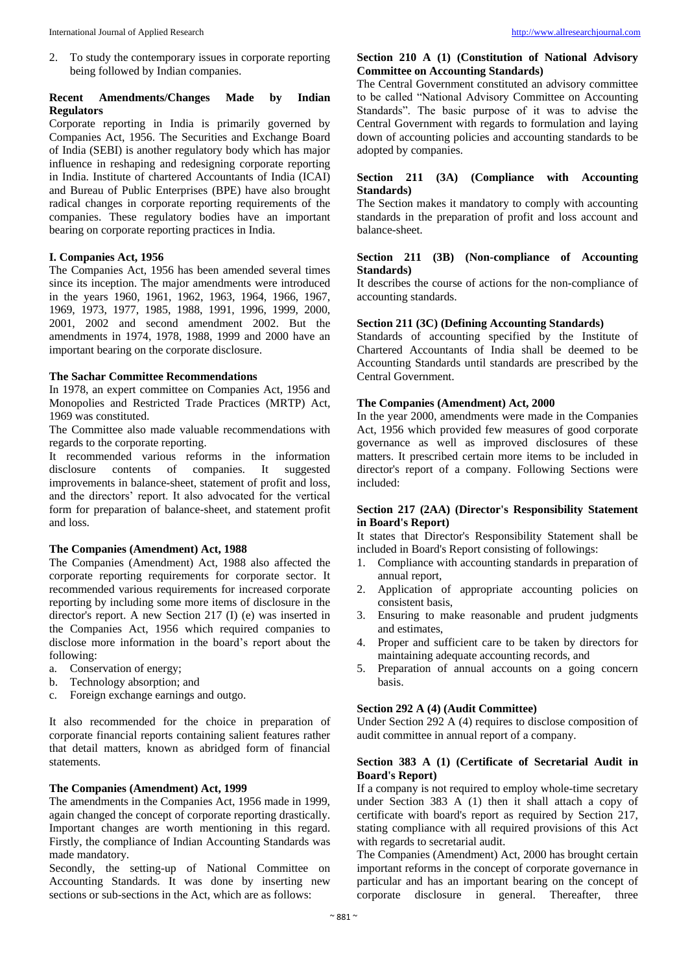2. To study the contemporary issues in corporate reporting being followed by Indian companies.

# **Recent Amendments/Changes Made by Indian Regulators**

Corporate reporting in India is primarily governed by Companies Act, 1956. The Securities and Exchange Board of India (SEBI) is another regulatory body which has major influence in reshaping and redesigning corporate reporting in India. Institute of chartered Accountants of India (ICAI) and Bureau of Public Enterprises (BPE) have also brought radical changes in corporate reporting requirements of the companies. These regulatory bodies have an important bearing on corporate reporting practices in India.

#### **I. Companies Act, 1956**

The Companies Act, 1956 has been amended several times since its inception. The major amendments were introduced in the years 1960, 1961, 1962, 1963, 1964, 1966, 1967, 1969, 1973, 1977, 1985, 1988, 1991, 1996, 1999, 2000, 2001, 2002 and second amendment 2002. But the amendments in 1974, 1978, 1988, 1999 and 2000 have an important bearing on the corporate disclosure.

## **The Sachar Committee Recommendations**

In 1978, an expert committee on Companies Act, 1956 and Monopolies and Restricted Trade Practices (MRTP) Act, 1969 was constituted.

The Committee also made valuable recommendations with regards to the corporate reporting.

It recommended various reforms in the information disclosure contents of companies. It suggested improvements in balance-sheet, statement of profit and loss, and the directors' report. It also advocated for the vertical form for preparation of balance-sheet, and statement profit and loss.

# **The Companies (Amendment) Act, 1988**

The Companies (Amendment) Act, 1988 also affected the corporate reporting requirements for corporate sector. It recommended various requirements for increased corporate reporting by including some more items of disclosure in the director's report. A new Section 217 (I) (e) was inserted in the Companies Act, 1956 which required companies to disclose more information in the board's report about the following:

- a. Conservation of energy;
- b. Technology absorption; and
- c. Foreign exchange earnings and outgo.

It also recommended for the choice in preparation of corporate financial reports containing salient features rather that detail matters, known as abridged form of financial statements.

# **The Companies (Amendment) Act, 1999**

The amendments in the Companies Act, 1956 made in 1999, again changed the concept of corporate reporting drastically. Important changes are worth mentioning in this regard. Firstly, the compliance of Indian Accounting Standards was made mandatory.

Secondly, the setting-up of National Committee on Accounting Standards. It was done by inserting new sections or sub-sections in the Act, which are as follows:

## **Section 210 A (1) (Constitution of National Advisory Committee on Accounting Standards)**

The Central Government constituted an advisory committee to be called "National Advisory Committee on Accounting Standards". The basic purpose of it was to advise the Central Government with regards to formulation and laying down of accounting policies and accounting standards to be adopted by companies.

## **Section 211 (3A) (Compliance with Accounting Standards)**

The Section makes it mandatory to comply with accounting standards in the preparation of profit and loss account and balance-sheet.

#### **Section 211 (3B) (Non-compliance of Accounting Standards)**

It describes the course of actions for the non-compliance of accounting standards.

#### **Section 211 (3C) (Defining Accounting Standards)**

Standards of accounting specified by the Institute of Chartered Accountants of India shall be deemed to be Accounting Standards until standards are prescribed by the Central Government.

#### **The Companies (Amendment) Act, 2000**

In the year 2000, amendments were made in the Companies Act, 1956 which provided few measures of good corporate governance as well as improved disclosures of these matters. It prescribed certain more items to be included in director's report of a company. Following Sections were included:

# **Section 217 (2AA) (Director's Responsibility Statement in Board's Report)**

It states that Director's Responsibility Statement shall be included in Board's Report consisting of followings:

- 1. Compliance with accounting standards in preparation of annual report,
- 2. Application of appropriate accounting policies on consistent basis,
- 3. Ensuring to make reasonable and prudent judgments and estimates,
- 4. Proper and sufficient care to be taken by directors for maintaining adequate accounting records, and
- 5. Preparation of annual accounts on a going concern basis.

### **Section 292 A (4) (Audit Committee)**

Under Section 292 A (4) requires to disclose composition of audit committee in annual report of a company.

# **Section 383 A (1) (Certificate of Secretarial Audit in Board's Report)**

If a company is not required to employ whole-time secretary under Section 383 A (1) then it shall attach a copy of certificate with board's report as required by Section 217, stating compliance with all required provisions of this Act with regards to secretarial audit.

The Companies (Amendment) Act, 2000 has brought certain important reforms in the concept of corporate governance in particular and has an important bearing on the concept of corporate disclosure in general. Thereafter, three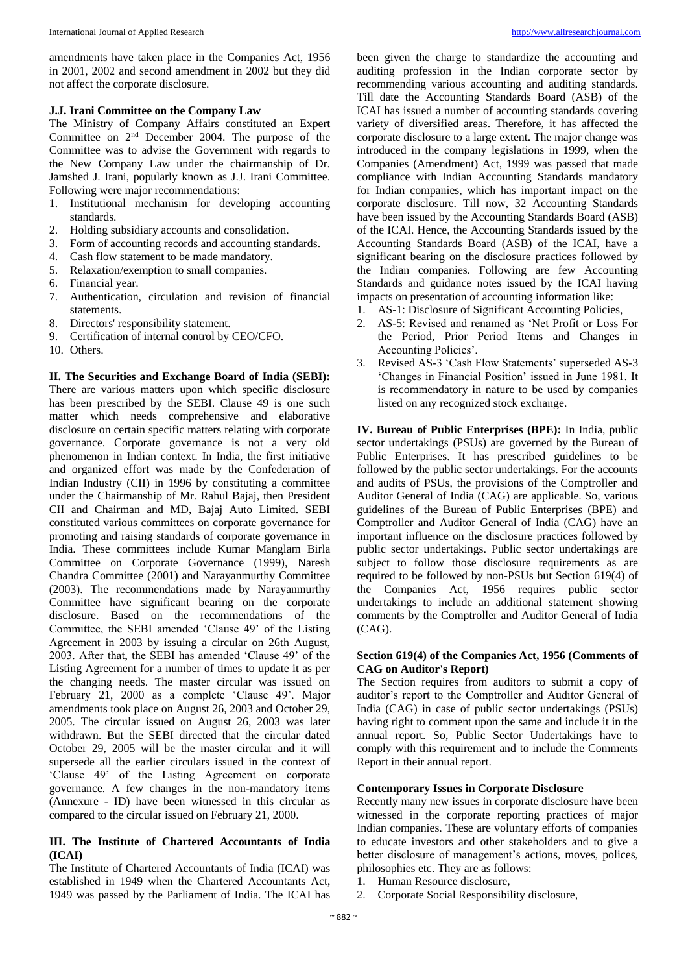amendments have taken place in the Companies Act, 1956 in 2001, 2002 and second amendment in 2002 but they did not affect the corporate disclosure.

# **J.J. Irani Committee on the Company Law**

The Ministry of Company Affairs constituted an Expert Committee on 2nd December 2004. The purpose of the Committee was to advise the Government with regards to the New Company Law under the chairmanship of Dr. Jamshed J. Irani, popularly known as J.J. Irani Committee. Following were major recommendations:

- 1. Institutional mechanism for developing accounting standards.
- 2. Holding subsidiary accounts and consolidation.
- 3. Form of accounting records and accounting standards.
- 4. Cash flow statement to be made mandatory.
- 5. Relaxation/exemption to small companies.
- 6. Financial year.
- 7. Authentication, circulation and revision of financial statements.
- 8. Directors' responsibility statement.
- 9. Certification of internal control by CEO/CFO.
- 10. Others.

**II. The Securities and Exchange Board of India (SEBI):**  There are various matters upon which specific disclosure has been prescribed by the SEBI. Clause 49 is one such matter which needs comprehensive and elaborative disclosure on certain specific matters relating with corporate governance. Corporate governance is not a very old phenomenon in Indian context. In India, the first initiative and organized effort was made by the Confederation of Indian Industry (CII) in 1996 by constituting a committee under the Chairmanship of Mr. Rahul Bajaj, then President CII and Chairman and MD, Bajaj Auto Limited. SEBI constituted various committees on corporate governance for promoting and raising standards of corporate governance in India. These committees include Kumar Manglam Birla Committee on Corporate Governance (1999), Naresh Chandra Committee (2001) and Narayanmurthy Committee (2003). The recommendations made by Narayanmurthy Committee have significant bearing on the corporate disclosure. Based on the recommendations of the Committee, the SEBI amended 'Clause 49' of the Listing Agreement in 2003 by issuing a circular on 26th August, 2003. After that, the SEBI has amended 'Clause 49' of the Listing Agreement for a number of times to update it as per the changing needs. The master circular was issued on February 21, 2000 as a complete 'Clause 49'. Major amendments took place on August 26, 2003 and October 29, 2005. The circular issued on August 26, 2003 was later withdrawn. But the SEBI directed that the circular dated October 29, 2005 will be the master circular and it will supersede all the earlier circulars issued in the context of 'Clause 49' of the Listing Agreement on corporate governance. A few changes in the non-mandatory items (Annexure - ID) have been witnessed in this circular as compared to the circular issued on February 21, 2000.

# **III. The Institute of Chartered Accountants of India (ICAI)**

The Institute of Chartered Accountants of India (ICAI) was established in 1949 when the Chartered Accountants Act, 1949 was passed by the Parliament of India. The ICAI has been given the charge to standardize the accounting and auditing profession in the Indian corporate sector by recommending various accounting and auditing standards. Till date the Accounting Standards Board (ASB) of the ICAI has issued a number of accounting standards covering variety of diversified areas. Therefore, it has affected the corporate disclosure to a large extent. The major change was introduced in the company legislations in 1999, when the Companies (Amendment) Act, 1999 was passed that made compliance with Indian Accounting Standards mandatory for Indian companies, which has important impact on the corporate disclosure. Till now, 32 Accounting Standards have been issued by the Accounting Standards Board (ASB) of the ICAI. Hence, the Accounting Standards issued by the Accounting Standards Board (ASB) of the ICAI, have a significant bearing on the disclosure practices followed by the Indian companies. Following are few Accounting Standards and guidance notes issued by the ICAI having impacts on presentation of accounting information like:

- 1. AS-1: Disclosure of Significant Accounting Policies,
- 2. AS-5: Revised and renamed as 'Net Profit or Loss For the Period, Prior Period Items and Changes in Accounting Policies'.
- 3. Revised AS-3 'Cash Flow Statements' superseded AS-3 'Changes in Financial Position' issued in June 1981. It is recommendatory in nature to be used by companies listed on any recognized stock exchange.

**IV. Bureau of Public Enterprises (BPE):** In India, public sector undertakings (PSUs) are governed by the Bureau of Public Enterprises. It has prescribed guidelines to be followed by the public sector undertakings. For the accounts and audits of PSUs, the provisions of the Comptroller and Auditor General of India (CAG) are applicable. So, various guidelines of the Bureau of Public Enterprises (BPE) and Comptroller and Auditor General of India (CAG) have an important influence on the disclosure practices followed by public sector undertakings. Public sector undertakings are subject to follow those disclosure requirements as are required to be followed by non-PSUs but Section 619(4) of the Companies Act, 1956 requires public sector undertakings to include an additional statement showing comments by the Comptroller and Auditor General of India (CAG).

# **Section 619(4) of the Companies Act, 1956 (Comments of CAG on Auditor's Report)**

The Section requires from auditors to submit a copy of auditor's report to the Comptroller and Auditor General of India (CAG) in case of public sector undertakings (PSUs) having right to comment upon the same and include it in the annual report. So, Public Sector Undertakings have to comply with this requirement and to include the Comments Report in their annual report.

# **Contemporary Issues in Corporate Disclosure**

Recently many new issues in corporate disclosure have been witnessed in the corporate reporting practices of major Indian companies. These are voluntary efforts of companies to educate investors and other stakeholders and to give a better disclosure of management's actions, moves, polices, philosophies etc. They are as follows:

- 1. Human Resource disclosure,
- 2. Corporate Social Responsibility disclosure,